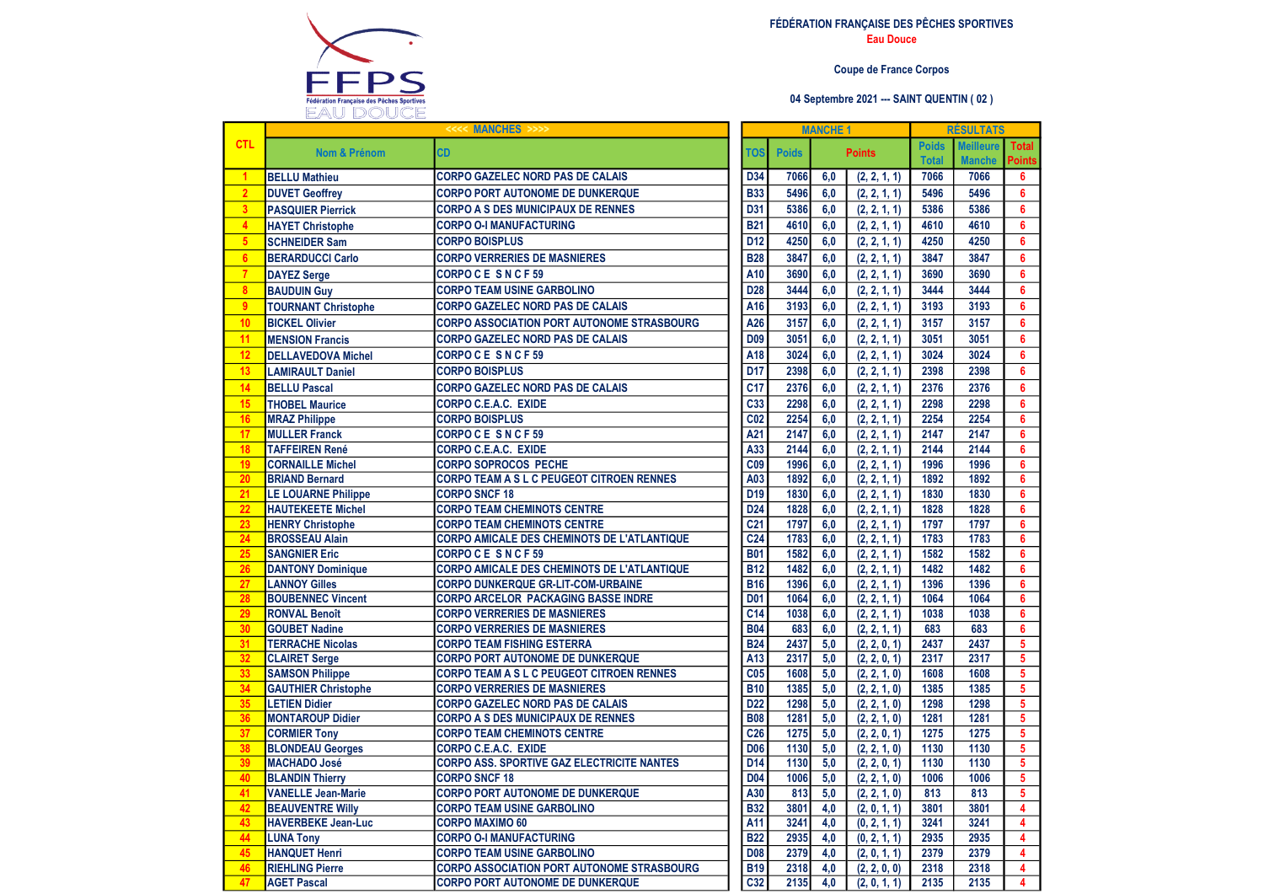

## FÉDÉRATION FRANÇAISE DES PÊCHES SPORTIVES Eau Douce

## Coupe de France Corpos

## 04 Septembre 2021 --- SAINT QUENTIN ( 02 )

|                         | <b>MANCHES</b>                                   |                                                                                         |                          | <b>MANCHE 1</b> |            |                              |                              | <b>RÉSULTATS</b>                  |                               |  |  |
|-------------------------|--------------------------------------------------|-----------------------------------------------------------------------------------------|--------------------------|-----------------|------------|------------------------------|------------------------------|-----------------------------------|-------------------------------|--|--|
| <b>CTL</b>              | <b>Nom &amp; Prénom</b>                          | <b>CD</b>                                                                               | <b>TOS</b>               | <b>Poids</b>    |            | <b>Points</b>                | <b>Poids</b><br><b>Total</b> | <b>Meilleure</b><br><b>Manche</b> | <b>Total</b><br><b>Points</b> |  |  |
| $\mathbf{1}$            | <b>BELLU Mathieu</b>                             | <b>CORPO GAZELEC NORD PAS DE CALAIS</b>                                                 | D34                      | 7066            | 6,0        | (2, 2, 1, 1)                 | 7066                         | 7066                              | 6                             |  |  |
| $\overline{2}$          | <b>DUVET Geoffrey</b>                            | <b>CORPO PORT AUTONOME DE DUNKERQUE</b>                                                 | <b>B33</b>               | 5496            | 6.0        | (2, 2, 1, 1)                 | 5496                         | 5496                              | 6                             |  |  |
| $\overline{\mathbf{3}}$ | <b>PASQUIER Pierrick</b>                         | <b>CORPO A S DES MUNICIPAUX DE RENNES</b>                                               | D31                      | 5386            | 6.0        | (2, 2, 1, 1)                 | 5386                         | 5386                              | 6                             |  |  |
| $\overline{4}$          | <b>HAYET Christophe</b>                          | <b>CORPO O-I MANUFACTURING</b>                                                          | $\overline{B21}$         | 4610            | 6,0        | (2, 2, 1, 1)                 | 4610                         | 4610                              | 6                             |  |  |
| 5 <sub>5</sub>          | <b>SCHNEIDER Sam</b>                             | <b>CORPO BOISPLUS</b>                                                                   | D <sub>12</sub>          | 4250            | 6.0        | (2, 2, 1, 1)                 | 4250                         | 4250                              | 6                             |  |  |
| $6\phantom{a}$          | <b>BERARDUCCI Carlo</b>                          | <b>CORPO VERRERIES DE MASNIERES</b>                                                     | <b>B28</b>               | 3847            | 6,0        | (2, 2, 1, 1)                 | 3847                         | 3847                              | 6                             |  |  |
| $\overline{7}$          | <b>DAYEZ Serge</b>                               | CORPOCE SNCF59                                                                          | A10                      | 3690            | 6,0        | (2, 2, 1, 1)                 | 3690                         | 3690                              | 6                             |  |  |
| 8 <sup>2</sup>          | <b>BAUDUIN Guy</b>                               | <b>CORPO TEAM USINE GARBOLINO</b>                                                       | D <sub>28</sub>          | 3444            | 6.0        | (2, 2, 1, 1)                 | 3444                         | 3444                              | 6                             |  |  |
| $\overline{9}$          | <b>TOURNANT Christophe</b>                       | <b>CORPO GAZELEC NORD PAS DE CALAIS</b>                                                 | A16                      | 3193            | 6.0        | (2, 2, 1, 1)                 | 3193                         | 3193                              | 6                             |  |  |
| 10                      | <b>BICKEL Olivier</b>                            | <b>CORPO ASSOCIATION PORT AUTONOME STRASBOURG</b>                                       | A26                      | 3157            | 6.0        | (2, 2, 1, 1)                 | 3157                         | 3157                              | 6                             |  |  |
| 11                      | <b>MENSION Francis</b>                           | <b>CORPO GAZELEC NORD PAS DE CALAIS</b>                                                 | <b>D09</b>               | 3051            | 6.0        | (2, 2, 1, 1)                 | 3051                         | 3051                              | 6                             |  |  |
| 12                      | <b>DELLAVEDOVA Michel</b>                        | CORPOCE SNCF59                                                                          | A <sub>18</sub>          | 3024            | 6.0        | (2, 2, 1, 1)                 | 3024                         | 3024                              | 6                             |  |  |
| 13                      | <b>LAMIRAULT Daniel</b>                          | <b>CORPO BOISPLUS</b>                                                                   | D <sub>17</sub>          | 2398            | 6.0        | (2, 2, 1, 1)                 | 2398                         | 2398                              | 6                             |  |  |
| 14                      | <b>BELLU Pascal</b>                              | <b>CORPO GAZELEC NORD PAS DE CALAIS</b>                                                 | $\overline{C}$ 17        | 2376            | 6,0        | (2, 2, 1, 1)                 | 2376                         | 2376                              | 6                             |  |  |
| 15                      | <b>THOBEL Maurice</b>                            | <b>CORPO C.E.A.C. EXIDE</b>                                                             | C <sub>33</sub>          | 2298            | 6,0        | (2, 2, 1, 1)                 | 2298                         | 2298                              | 6                             |  |  |
| 16                      | <b>MRAZ Philippe</b>                             | <b>CORPO BOISPLUS</b>                                                                   | C <sub>02</sub>          | 2254            | 6.0        | (2, 2, 1, 1)                 | 2254                         | 2254                              | 6                             |  |  |
| 17                      | <b>MULLER Franck</b>                             | CORPOCE SNCF59                                                                          | A21                      | 2147            | 6,0        | (2, 2, 1, 1)                 | 2147                         | 2147                              | 6                             |  |  |
| 18                      | <b>TAFFEIREN René</b>                            | <b>CORPO C.E.A.C. EXIDE</b>                                                             | A33                      | 2144            | 6,0        | (2, 2, 1, 1)                 | 2144                         | 2144                              | 6                             |  |  |
| 19                      | <b>CORNAILLE Michel</b>                          | <b>CORPO SOPROCOS PECHE</b>                                                             | C <sub>09</sub>          | 1996            | 6.0        | (2, 2, 1, 1)                 | 1996                         | 1996                              | 6                             |  |  |
| 20                      | <b>BRIAND Bernard</b>                            | CORPO TEAM A S L C PEUGEOT CITROEN RENNES                                               | A03                      | 1892            | 6.0        | (2, 2, 1, 1)                 | 1892                         | 1892                              | 6                             |  |  |
| 21                      | <b>LE LOUARNE Philippe</b>                       | <b>CORPO SNCF 18</b>                                                                    | D <sub>19</sub>          | 1830            | 6.0        | (2, 2, 1, 1)                 | 1830                         | 1830                              | 6                             |  |  |
| 22                      | <b>HAUTEKEETE Michel</b>                         | <b>CORPO TEAM CHEMINOTS CENTRE</b>                                                      | <b>D24</b>               | 1828            | 6.0        | (2, 2, 1, 1)                 | 1828                         | 1828                              | 6                             |  |  |
| 23                      | <b>HENRY Christophe</b>                          | <b>CORPO TEAM CHEMINOTS CENTRE</b>                                                      | $\overline{C21}$         | 1797            | 6,0        | (2, 2, 1, 1)                 | 1797                         | 1797                              | 6                             |  |  |
| 24                      | <b>BROSSEAU Alain</b>                            | <b>CORPO AMICALE DES CHEMINOTS DE L'ATLANTIQUE</b>                                      | C <sub>24</sub>          | 1783            | 6.0        | (2, 2, 1, 1)                 | 1783                         | 1783                              | 6                             |  |  |
| 25                      | <b>SANGNIER Eric</b>                             | CORPO CESNCF59                                                                          | <b>B01</b>               | 1582            | 6.0        | (2, 2, 1, 1)                 | 1582                         | 1582                              | 6                             |  |  |
| 26                      | <b>DANTONY Dominique</b>                         | <b>CORPO AMICALE DES CHEMINOTS DE L'ATLANTIQUE</b>                                      | <b>B12</b><br><b>B16</b> | 1482<br>1396    | 6.0        | (2, 2, 1, 1)                 | 1482<br>1396                 | 1482<br>1396                      | 6<br>6                        |  |  |
| 27<br>28                | <b>LANNOY Gilles</b><br><b>BOUBENNEC Vincent</b> | <b>CORPO DUNKERQUE GR-LIT-COM-URBAINE</b><br><b>CORPO ARCELOR PACKAGING BASSE INDRE</b> | <b>D01</b>               | 1064            | 6.0<br>6,0 | (2, 2, 1, 1)<br>(2, 2, 1, 1) | 1064                         | 1064                              | 6                             |  |  |
| 29                      | <b>RONVAL Benoît</b>                             | <b>CORPO VERRERIES DE MASNIERES</b>                                                     | C <sub>14</sub>          | 1038            | 6.0        | (2, 2, 1, 1)                 | 1038                         | 1038                              | 6                             |  |  |
| 30                      | <b>GOUBET Nadine</b>                             | <b>CORPO VERRERIES DE MASNIERES</b>                                                     | <b>B04</b>               | 683             | 6.0        | (2, 2, 1, 1)                 | 683                          | 683                               | 6                             |  |  |
| 31                      | <b>TERRACHE Nicolas</b>                          | <b>CORPO TEAM FISHING ESTERRA</b>                                                       | <b>B24</b>               | 2437            | 5,0        | (2, 2, 0, 1)                 | 2437                         | 2437                              | $\overline{\mathbf{5}}$       |  |  |
| 32                      | <b>CLAIRET Serge</b>                             | <b>CORPO PORT AUTONOME DE DUNKERQUE</b>                                                 | A13                      | 2317            | 5,0        | (2, 2, 0, 1)                 | 2317                         | 2317                              | 5                             |  |  |
| 33                      | <b>SAMSON Philippe</b>                           | CORPO TEAM A S L C PEUGEOT CITROEN RENNES                                               | C <sub>05</sub>          | 1608            | 5,0        | (2, 2, 1, 0)                 | 1608                         | 1608                              | $\overline{5}$                |  |  |
| 34                      | <b>GAUTHIER Christophe</b>                       | <b>CORPO VERRERIES DE MASNIERES</b>                                                     | <b>B10</b>               | 1385            | 5,0        | (2, 2, 1, 0)                 | 1385                         | 1385                              | $\overline{\mathbf{5}}$       |  |  |
| 35                      | <b>LETIEN Didier</b>                             | <b>CORPO GAZELEC NORD PAS DE CALAIS</b>                                                 | D <sub>22</sub>          | 1298            | 5.0        | (2, 2, 1, 0)                 | 1298                         | 1298                              | 5                             |  |  |
| 36                      | <b>MONTAROUP Didier</b>                          | <b>CORPO A S DES MUNICIPAUX DE RENNES</b>                                               | <b>B08</b>               | 1281            | 5,0        | (2, 2, 1, 0)                 | 1281                         | 1281                              | 5                             |  |  |
| 37                      | <b>CORMIER Tony</b>                              | <b>CORPO TEAM CHEMINOTS CENTRE</b>                                                      | C <sub>26</sub>          | 1275            | 5.0        | (2, 2, 0, 1)                 | 1275                         | 1275                              | $\overline{\mathbf{5}}$       |  |  |
| 38                      | <b>BLONDEAU Georges</b>                          | <b>CORPO C.E.A.C. EXIDE</b>                                                             | D <sub>06</sub>          | 1130            | 5,0        | (2, 2, 1, 0)                 | 1130                         | 1130                              | 5                             |  |  |
| 39                      | <b>MACHADO José</b>                              | <b>CORPO ASS. SPORTIVE GAZ ELECTRICITE NANTES</b>                                       | D <sub>14</sub>          | 1130            | 5,0        | (2, 2, 0, 1)                 | 1130                         | 1130                              | 5                             |  |  |
| 40                      | <b>BLANDIN Thierry</b>                           | <b>CORPO SNCF 18</b>                                                                    | <b>D04</b>               | 1006            | 5.0        | (2, 2, 1, 0)                 | 1006                         | 1006                              | 5                             |  |  |
| 41                      | <b>VANELLE Jean-Marie</b>                        | <b>CORPO PORT AUTONOME DE DUNKERQUE</b>                                                 | A30                      | 813             | 5.0        | (2, 2, 1, 0)                 | 813                          | 813                               | 5                             |  |  |
| 42                      | <b>BEAUVENTRE Willy</b>                          | <b>CORPO TEAM USINE GARBOLINO</b>                                                       | <b>B32</b>               | 3801            | 4.0        | (2, 0, 1, 1)                 | 3801                         | 3801                              | 4                             |  |  |
| 43<br>44                | <b>HAVERBEKE Jean-Luc</b>                        | <b>CORPO MAXIMO 60</b>                                                                  | A11<br><b>B22</b>        | 3241<br>2935    | 4,0<br>4.0 | (0, 2, 1, 1)                 | 3241<br>2935                 | 3241<br>2935                      | 4<br>4                        |  |  |
| 45                      | <b>LUNA Tony</b><br><b>HANQUET Henri</b>         | <b>CORPO O-I MANUFACTURING</b><br><b>CORPO TEAM USINE GARBOLINO</b>                     | <b>D08</b>               | 2379            | 4.0        | (0, 2, 1, 1)                 | 2379                         | 2379                              | 4                             |  |  |
| 46                      | <b>RIEHLING Pierre</b>                           | <b>CORPO ASSOCIATION PORT AUTONOME STRASBOURG</b>                                       | <b>B19</b>               | 2318            | 4.0        | (2, 0, 1, 1)<br>(2, 2, 0, 0) | 2318                         | 2318                              | 4                             |  |  |
| 47                      | <b>AGET Pascal</b>                               | <b>CORPO PORT AUTONOME DE DUNKERQUE</b>                                                 | C <sub>32</sub>          | 2135            | 4.0        | (2, 0, 1, 1)                 | 2135                         | 2135                              | $\overline{\mathbf{4}}$       |  |  |
|                         |                                                  |                                                                                         |                          |                 |            |                              |                              |                                   |                               |  |  |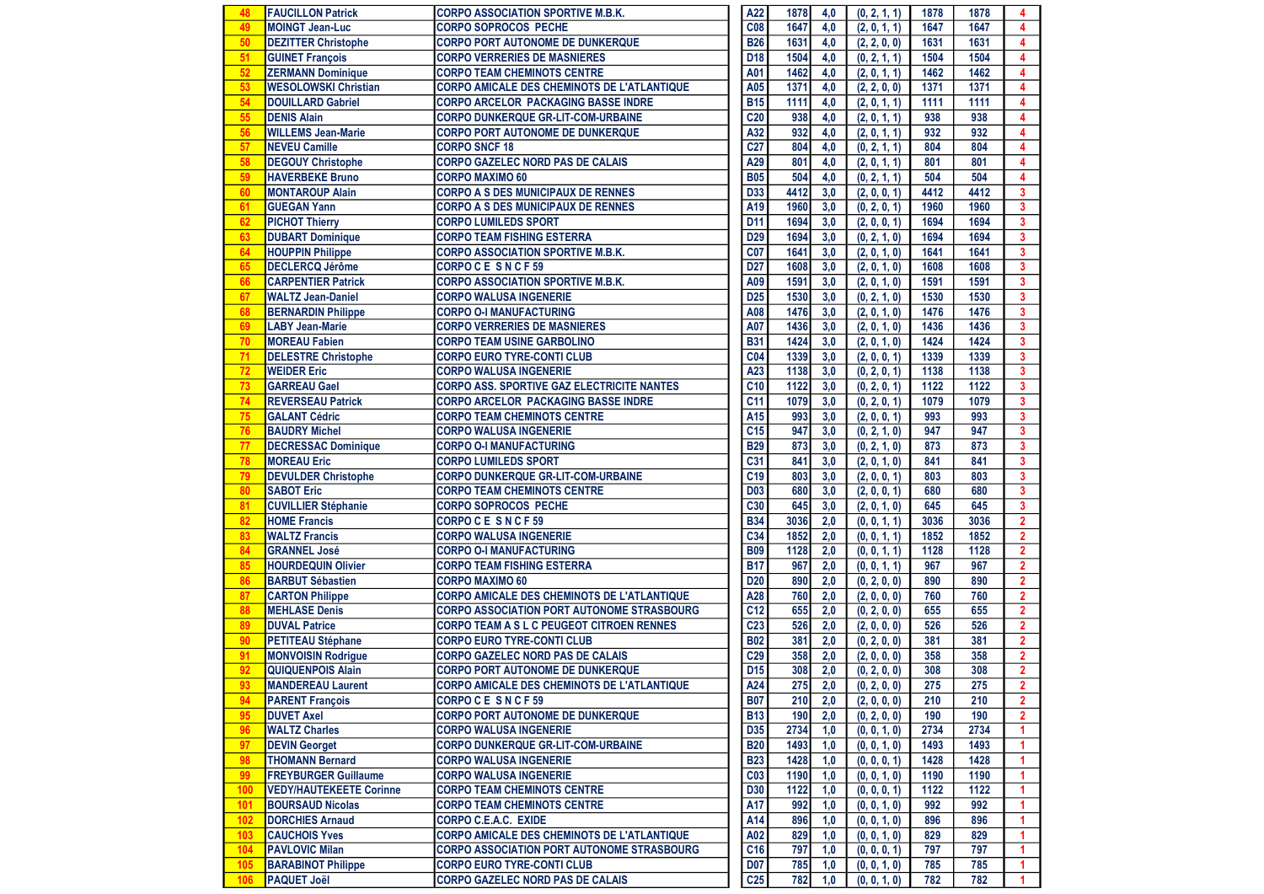| 48  | <b>FAUCILLON Patrick</b>       | <b>CORPO ASSOCIATION SPORTIVE M.B.K.</b>           | A22             | 1878 | 4,0 | (0, 2, 1, 1) | 1878 | 1878 | 4                       |
|-----|--------------------------------|----------------------------------------------------|-----------------|------|-----|--------------|------|------|-------------------------|
| 49  | <b>MOINGT Jean-Luc</b>         | <b>CORPO SOPROCOS PECHE</b>                        | C <sub>08</sub> | 1647 | 4,0 | (2, 0, 1, 1) | 1647 | 1647 | 4                       |
| 50  | <b>DEZITTER Christophe</b>     | <b>CORPO PORT AUTONOME DE DUNKERQUE</b>            | <b>B26</b>      | 1631 | 4.0 | (2, 2, 0, 0) | 1631 | 1631 | 4                       |
| 51  | <b>GUINET François</b>         | <b>CORPO VERRERIES DE MASNIERES</b>                | D <sub>18</sub> | 1504 | 4,0 | (0, 2, 1, 1) | 1504 | 1504 | 4                       |
| 52  | <b>ZERMANN Dominique</b>       | <b>CORPO TEAM CHEMINOTS CENTRE</b>                 | A01             | 1462 | 4,0 | (2, 0, 1, 1) | 1462 | 1462 | 4                       |
| 53  | <b>WESOLOWSKI Christian</b>    | <b>CORPO AMICALE DES CHEMINOTS DE L'ATLANTIQUE</b> | A05             | 1371 | 4.0 | (2, 2, 0, 0) | 1371 | 1371 | 4                       |
| 54  | <b>DOUILLARD Gabriel</b>       | <b>CORPO ARCELOR PACKAGING BASSE INDRE</b>         | <b>B15</b>      | 1111 | 4,0 | (2, 0, 1, 1) | 1111 | 1111 | 4                       |
| 55  | <b>DENIS Alain</b>             | <b>CORPO DUNKERQUE GR-LIT-COM-URBAINE</b>          | C <sub>20</sub> | 938  | 4,0 | (2, 0, 1, 1) | 938  | 938  | 4                       |
| 56  | <b>WILLEMS Jean-Marie</b>      | <b>CORPO PORT AUTONOME DE DUNKERQUE</b>            | A32             | 932  | 4,0 | (2, 0, 1, 1) | 932  | 932  | 4                       |
| 57  | <b>NEVEU Camille</b>           | <b>CORPO SNCF 18</b>                               | C <sub>27</sub> | 804  | 4,0 | (0, 2, 1, 1) | 804  | 804  | 4                       |
| 58  | <b>DEGOUY Christophe</b>       | <b>CORPO GAZELEC NORD PAS DE CALAIS</b>            | A29             | 801  | 4,0 | (2, 0, 1, 1) | 801  | 801  | 4                       |
| 59  | <b>HAVERBEKE Bruno</b>         | <b>CORPO MAXIMO 60</b>                             | <b>B05</b>      | 504  | 4,0 | (0, 2, 1, 1) | 504  | 504  | 4                       |
| 60  | <b>MONTAROUP Alain</b>         | <b>CORPO A S DES MUNICIPAUX DE RENNES</b>          | <b>D33</b>      | 4412 | 3,0 | (2, 0, 0, 1) | 4412 | 4412 | $\overline{\mathbf{3}}$ |
| 61  | <b>GUEGAN Yann</b>             | <b>CORPO A S DES MUNICIPAUX DE RENNES</b>          | A19             | 1960 | 3,0 | (0, 2, 0, 1) | 1960 | 1960 | 3                       |
| 62  | <b>PICHOT Thierry</b>          | <b>CORPO LUMILEDS SPORT</b>                        | D <sub>11</sub> | 1694 | 3,0 | (2, 0, 0, 1) | 1694 | 1694 | $\overline{\mathbf{3}}$ |
| 63  | <b>DUBART Dominique</b>        | <b>CORPO TEAM FISHING ESTERRA</b>                  | D <sub>29</sub> | 1694 | 3,0 | (0, 2, 1, 0) | 1694 | 1694 | $\overline{\mathbf{3}}$ |
| 64  | <b>HOUPPIN Philippe</b>        | <b>CORPO ASSOCIATION SPORTIVE M.B.K.</b>           | C <sub>07</sub> | 1641 | 3,0 | (2, 0, 1, 0) | 1641 | 1641 | 3                       |
| 65  | <b>DECLERCQ Jérôme</b>         | <b>CORPOCE SNCF59</b>                              | <b>D27</b>      | 1608 | 3,0 | (2, 0, 1, 0) | 1608 | 1608 | 3                       |
| 66  | <b>CARPENTIER Patrick</b>      | <b>CORPO ASSOCIATION SPORTIVE M.B.K.</b>           | A09             | 1591 | 3,0 | (2, 0, 1, 0) | 1591 | 1591 | $\overline{\mathbf{3}}$ |
| 67  | <b>WALTZ Jean-Daniel</b>       | <b>CORPO WALUSA INGENERIE</b>                      | <b>D25</b>      | 1530 | 3.0 | (0, 2, 1, 0) | 1530 | 1530 | 3                       |
| 68  | <b>BERNARDIN Philippe</b>      | <b>CORPO O-I MANUFACTURING</b>                     | A08             | 1476 | 3,0 | (2, 0, 1, 0) | 1476 | 1476 | $\overline{\mathbf{3}}$ |
| 69  | <b>LABY Jean-Marie</b>         | <b>CORPO VERRERIES DE MASNIERES</b>                | A07             | 1436 | 3,0 | (2, 0, 1, 0) | 1436 | 1436 | $\overline{\mathbf{3}}$ |
| 70  | <b>MOREAU Fabien</b>           | <b>CORPO TEAM USINE GARBOLINO</b>                  | <b>B31</b>      | 1424 | 3.0 | (2, 0, 1, 0) | 1424 | 1424 | $\overline{\mathbf{3}}$ |
| 71  | <b>DELESTRE Christophe</b>     | <b>CORPO EURO TYRE-CONTI CLUB</b>                  | C <sub>04</sub> | 1339 | 3,0 | (2, 0, 0, 1) | 1339 | 1339 | $\overline{\mathbf{3}}$ |
| 72  | <b>WEIDER Eric</b>             | <b>CORPO WALUSA INGENERIE</b>                      | A23             | 1138 | 3,0 | (0, 2, 0, 1) | 1138 | 1138 | $\overline{\mathbf{3}}$ |
| 73  | <b>GARREAU Gael</b>            | <b>CORPO ASS. SPORTIVE GAZ ELECTRICITE NANTES</b>  | C10             | 1122 | 3,0 | (0, 2, 0, 1) | 1122 | 1122 | $\mathbf{3}$            |
| 74  | <b>REVERSEAU Patrick</b>       | <b>CORPO ARCELOR PACKAGING BASSE INDRE</b>         | C <sub>11</sub> | 1079 | 3,0 | (0, 2, 0, 1) | 1079 | 1079 | $\overline{\mathbf{3}}$ |
| 75  | <b>GALANT Cédric</b>           | <b>CORPO TEAM CHEMINOTS CENTRE</b>                 | A15             | 993  | 3,0 | (2, 0, 0, 1) | 993  | 993  | $\overline{\mathbf{3}}$ |
| 76  | <b>BAUDRY Michel</b>           | <b>CORPO WALUSA INGENERIE</b>                      | C <sub>15</sub> | 947  | 3,0 | (0, 2, 1, 0) | 947  | 947  | 3                       |
| 77  | <b>DECRESSAC Dominique</b>     | <b>CORPO O-I MANUFACTURING</b>                     | <b>B29</b>      | 873  | 3,0 | (0, 2, 1, 0) | 873  | 873  | $\overline{\mathbf{3}}$ |
| 78  | <b>MOREAU Eric</b>             | <b>CORPO LUMILEDS SPORT</b>                        | C <sub>31</sub> | 841  | 3.0 | (2, 0, 1, 0) | 841  | 841  | $\overline{\mathbf{3}}$ |
| 79  | <b>DEVULDER Christophe</b>     | <b>CORPO DUNKERQUE GR-LIT-COM-URBAINE</b>          | C <sub>19</sub> | 803  | 3,0 | (2, 0, 0, 1) | 803  | 803  | $\mathbf{3}$            |
| 80  | <b>SABOT Eric</b>              | <b>CORPO TEAM CHEMINOTS CENTRE</b>                 | D <sub>03</sub> | 680  | 3,0 | (2, 0, 0, 1) | 680  | 680  | $\overline{\mathbf{3}}$ |
| 81  | <b>CUVILLIER Stéphanie</b>     | <b>CORPO SOPROCOS PECHE</b>                        | C30             | 645  | 3,0 | (2, 0, 1, 0) | 645  | 645  | $\overline{\mathbf{3}}$ |
| 82  | <b>HOME Francis</b>            | <b>CORPOCE SNCF59</b>                              | <b>B34</b>      | 3036 | 2,0 | (0, 0, 1, 1) | 3036 | 3036 | $\overline{2}$          |
| 83  | <b>WALTZ Francis</b>           | <b>CORPO WALUSA INGENERIE</b>                      | C34             | 1852 | 2,0 | (0, 0, 1, 1) | 1852 | 1852 | $\overline{2}$          |
| 84  | <b>GRANNEL José</b>            | <b>CORPO O-I MANUFACTURING</b>                     | <b>B09</b>      | 1128 | 2,0 | (0, 0, 1, 1) | 1128 | 1128 | $\overline{2}$          |
| 85  | <b>HOURDEQUIN Olivier</b>      | <b>CORPO TEAM FISHING ESTERRA</b>                  | <b>B17</b>      | 967  | 2,0 | (0, 0, 1, 1) | 967  | 967  | $\overline{2}$          |
| 86  | <b>BARBUT Sébastien</b>        | <b>CORPO MAXIMO 60</b>                             | D <sub>20</sub> | 890  | 2,0 | (0, 2, 0, 0) | 890  | 890  | $\overline{2}$          |
| 87  | <b>CARTON Philippe</b>         | <b>CORPO AMICALE DES CHEMINOTS DE L'ATLANTIQUE</b> | A28             | 760  | 2,0 | (2, 0, 0, 0) | 760  | 760  | $\overline{2}$          |
| 88  | <b>MEHLASE Denis</b>           | <b>CORPO ASSOCIATION PORT AUTONOME STRASBOURG</b>  | C <sub>12</sub> | 655  | 2,0 | (0, 2, 0, 0) | 655  | 655  | $\overline{2}$          |
| 89  | <b>DUVAL Patrice</b>           | CORPO TEAM A S L C PEUGEOT CITROEN RENNES          | C <sub>23</sub> | 526  | 2,0 | (2, 0, 0, 0) | 526  | 526  | $\overline{2}$          |
| 90  | <b>PETITEAU Stéphane</b>       | <b>CORPO EURO TYRE-CONTI CLUB</b>                  | <b>B02</b>      | 381  | 2,0 | (0, 2, 0, 0) | 381  | 381  | $\overline{2}$          |
| 91  | <b>MONVOISIN Rodrique</b>      | <b>CORPO GAZELEC NORD PAS DE CALAIS</b>            | C <sub>29</sub> | 358  | 2,0 | (2, 0, 0, 0) | 358  | 358  | $\overline{2}$          |
| 92  | <b>QUIQUENPOIS Alain</b>       | <b>CORPO PORT AUTONOME DE DUNKERQUE</b>            | D <sub>15</sub> | 308  | 2,0 | (0, 2, 0, 0) | 308  | 308  | $\overline{2}$          |
| 93  | <b>MANDEREAU Laurent</b>       | <b>CORPO AMICALE DES CHEMINOTS DE L'ATLANTIQUE</b> | A24             | 275  | 2,0 | (0, 2, 0, 0) | 275  | 275  | 2                       |
| 94  | <b>PARENT François</b>         | CORPOCE SNCF59                                     | <b>B07</b>      | 210  | 2,0 | (2, 0, 0, 0) | 210  | 210  | $\mathbf{2}$            |
| 95  | <b>DUVET Axel</b>              | CORPO PORT AUTONOME DE DUNKERQUE                   | <b>B13</b>      | 190  | 2,0 | (0, 2, 0, 0) | 190  | 190  | $\overline{2}$          |
| 96  | <b>WALTZ Charles</b>           | <b>CORPO WALUSA INGENERIE</b>                      | D35             | 2734 | 1,0 | (0, 0, 1, 0) | 2734 | 2734 | 1                       |
| 97  | <b>DEVIN Georget</b>           | <b>CORPO DUNKERQUE GR-LIT-COM-URBAINE</b>          | <b>B20</b>      | 1493 | 1,0 | (0, 0, 1, 0) | 1493 | 1493 | 1                       |
| 98  | <b>THOMANN Bernard</b>         | <b>CORPO WALUSA INGENERIE</b>                      | <b>B23</b>      | 1428 | 1,0 | (0, 0, 0, 1) | 1428 | 1428 | 1                       |
| 99  | <b>FREYBURGER Guillaume</b>    | <b>CORPO WALUSA INGENERIE</b>                      | C <sub>03</sub> | 1190 | 1,0 | (0, 0, 1, 0) | 1190 | 1190 | 1                       |
| 100 | <b>VEDY/HAUTEKEETE Corinne</b> | <b>CORPO TEAM CHEMINOTS CENTRE</b>                 | D30             | 1122 | 1,0 | (0, 0, 0, 1) | 1122 | 1122 | 1                       |
| 101 | <b>BOURSAUD Nicolas</b>        | <b>CORPO TEAM CHEMINOTS CENTRE</b>                 | A17             | 992  | 1,0 | (0, 0, 1, 0) | 992  | 992  | 1                       |
| 102 | <b>DORCHIES Arnaud</b>         | <b>CORPO C.E.A.C. EXIDE</b>                        | A14             | 896  | 1,0 | (0, 0, 1, 0) | 896  | 896  | 1                       |
| 103 | <b>CAUCHOIS Yves</b>           | <b>CORPO AMICALE DES CHEMINOTS DE L'ATLANTIQUE</b> | A02             | 829  | 1,0 | (0, 0, 1, 0) | 829  | 829  | 1                       |
| 104 | <b>PAVLOVIC Milan</b>          | <b>CORPO ASSOCIATION PORT AUTONOME STRASBOURG</b>  | C16             | 797  | 1,0 | (0, 0, 0, 1) | 797  | 797  | 1                       |
| 105 | <b>BARABINOT Philippe</b>      | <b>CORPO EURO TYRE-CONTI CLUB</b>                  | <b>D07</b>      | 785  | 1,0 | (0, 0, 1, 0) | 785  | 785  | 1                       |
| 106 | <b>PAQUET Joël</b>             | <b>CORPO GAZELEC NORD PAS DE CALAIS</b>            | C <sub>25</sub> | 782  | 1,0 | (0, 0, 1, 0) | 782  | 782  |                         |